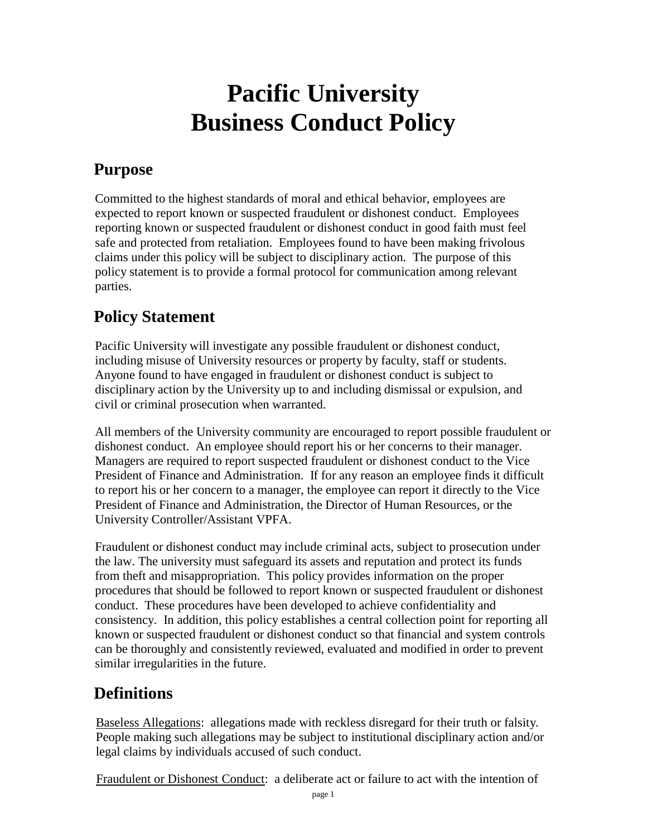# **Pacific University Business Conduct Policy**

# **Purpose**

Committed to the highest standards of moral and ethical behavior, employees are expected to report known or suspected fraudulent or dishonest conduct. Employees reporting known or suspected fraudulent or dishonest conduct in good faith must feel safe and protected from retaliation. Employees found to have been making frivolous claims under this policy will be subject to disciplinary action. The purpose of this policy statement is to provide a formal protocol for communication among relevant parties.

# **Policy Statement**

Pacific University will investigate any possible fraudulent or dishonest conduct, including misuse of University resources or property by faculty, staff or students. Anyone found to have engaged in fraudulent or dishonest conduct is subject to disciplinary action by the University up to and including dismissal or expulsion, and civil or criminal prosecution when warranted.

All members of the University community are encouraged to report possible fraudulent or dishonest conduct. An employee should report his or her concerns to their manager. Managers are required to report suspected fraudulent or dishonest conduct to the Vice President of Finance and Administration. If for any reason an employee finds it difficult to report his or her concern to a manager, the employee can report it directly to the Vice President of Finance and Administration, the Director of Human Resources, or the University Controller/Assistant VPFA.

Fraudulent or dishonest conduct may include criminal acts, subject to prosecution under the law. The university must safeguard its assets and reputation and protect its funds from theft and misappropriation. This policy provides information on the proper procedures that should be followed to report known or suspected fraudulent or dishonest conduct. These procedures have been developed to achieve confidentiality and consistency. In addition, this policy establishes a central collection point for reporting all known or suspected fraudulent or dishonest conduct so that financial and system controls can be thoroughly and consistently reviewed, evaluated and modified in order to prevent similar irregularities in the future.

# **Definitions**

Baseless Allegations: allegations made with reckless disregard for their truth or falsity. People making such allegations may be subject to institutional disciplinary action and/or legal claims by individuals accused of such conduct.

Fraudulent or Dishonest Conduct: a deliberate act or failure to act with the intention of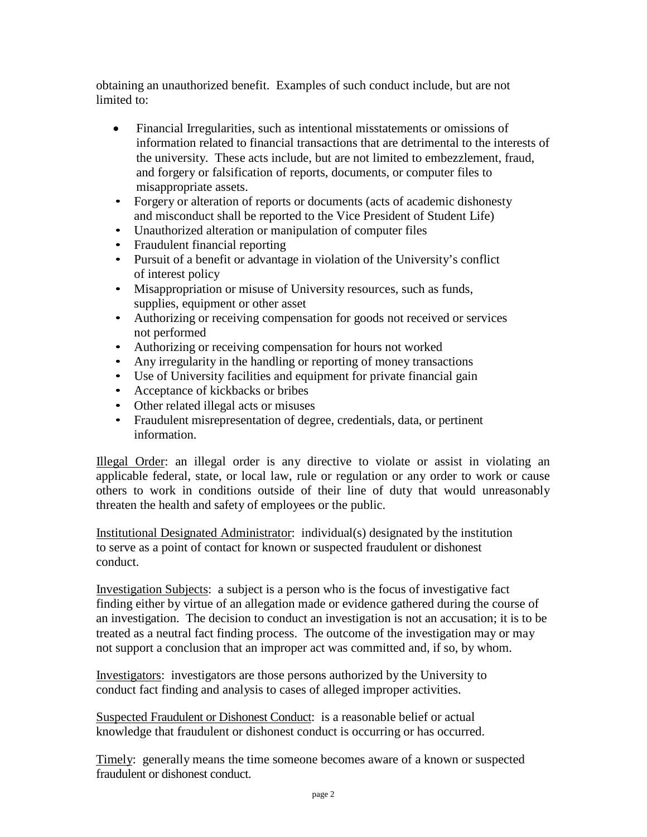obtaining an unauthorized benefit. Examples of such conduct include, but are not limited to:

- Financial Irregularities, such as intentional misstatements or omissions of information related to financial transactions that are detrimental to the interests of the university. These acts include, but are not limited to embezzlement, fraud, and forgery or falsification of reports, documents, or computer files to misappropriate assets.
- Forgery or alteration of reports or documents (acts of academic dishonesty and misconduct shall be reported to the Vice President of Student Life)
- Unauthorized alteration or manipulation of computer files
- Fraudulent financial reporting
- Pursuit of a benefit or advantage in violation of the University's conflict of interest policy
- Misappropriation or misuse of University resources, such as funds, supplies, equipment or other asset
- Authorizing or receiving compensation for goods not received or services not performed
- Authorizing or receiving compensation for hours not worked
- Any irregularity in the handling or reporting of money transactions
- Use of University facilities and equipment for private financial gain
- Acceptance of kickbacks or bribes
- Other related illegal acts or misuses
- Fraudulent misrepresentation of degree, credentials, data, or pertinent information.

Illegal Order: an illegal order is any directive to violate or assist in violating an applicable federal, state, or local law, rule or regulation or any order to work or cause others to work in conditions outside of their line of duty that would unreasonably threaten the health and safety of employees or the public.

Institutional Designated Administrator: individual(s) designated by the institution to serve as a point of contact for known or suspected fraudulent or dishonest conduct.

Investigation Subjects: a subject is a person who is the focus of investigative fact finding either by virtue of an allegation made or evidence gathered during the course of an investigation. The decision to conduct an investigation is not an accusation; it is to be treated as a neutral fact finding process. The outcome of the investigation may or may not support a conclusion that an improper act was committed and, if so, by whom.

Investigators: investigators are those persons authorized by the University to conduct fact finding and analysis to cases of alleged improper activities.

Suspected Fraudulent or Dishonest Conduct: is a reasonable belief or actual knowledge that fraudulent or dishonest conduct is occurring or has occurred.

Timely: generally means the time someone becomes aware of a known or suspected fraudulent or dishonest conduct.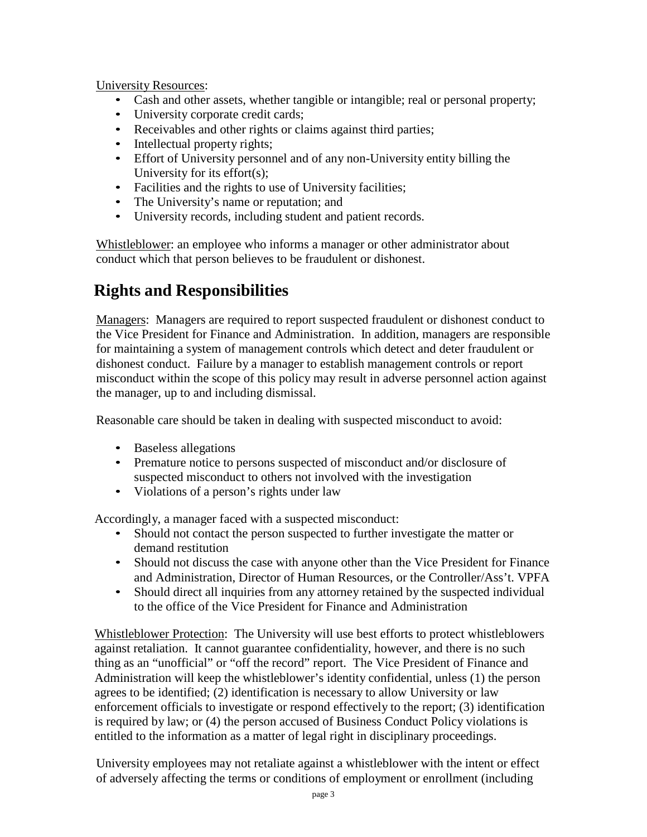University Resources:

- Cash and other assets, whether tangible or intangible; real or personal property;
- University corporate credit cards;
- Receivables and other rights or claims against third parties;
- Intellectual property rights;
- Effort of University personnel and of any non-University entity billing the University for its effort(s);
- Facilities and the rights to use of University facilities;
- The University's name or reputation; and
- University records, including student and patient records.

Whistleblower: an employee who informs a manager or other administrator about conduct which that person believes to be fraudulent or dishonest.

### **Rights and Responsibilities**

Managers: Managers are required to report suspected fraudulent or dishonest conduct to the Vice President for Finance and Administration. In addition, managers are responsible for maintaining a system of management controls which detect and deter fraudulent or dishonest conduct. Failure by a manager to establish management controls or report misconduct within the scope of this policy may result in adverse personnel action against the manager, up to and including dismissal.

Reasonable care should be taken in dealing with suspected misconduct to avoid:

- Baseless allegations
- Premature notice to persons suspected of misconduct and/or disclosure of suspected misconduct to others not involved with the investigation
- Violations of a person's rights under law

Accordingly, a manager faced with a suspected misconduct:

- Should not contact the person suspected to further investigate the matter or demand restitution
- Should not discuss the case with anyone other than the Vice President for Finance and Administration, Director of Human Resources, or the Controller/Ass't. VPFA
- Should direct all inquiries from any attorney retained by the suspected individual to the office of the Vice President for Finance and Administration

Whistleblower Protection: The University will use best efforts to protect whistleblowers against retaliation. It cannot guarantee confidentiality, however, and there is no such thing as an "unofficial" or "off the record" report. The Vice President of Finance and Administration will keep the whistleblower's identity confidential, unless (1) the person agrees to be identified; (2) identification is necessary to allow University or law enforcement officials to investigate or respond effectively to the report; (3) identification is required by law; or (4) the person accused of Business Conduct Policy violations is entitled to the information as a matter of legal right in disciplinary proceedings.

University employees may not retaliate against a whistleblower with the intent or effect of adversely affecting the terms or conditions of employment or enrollment (including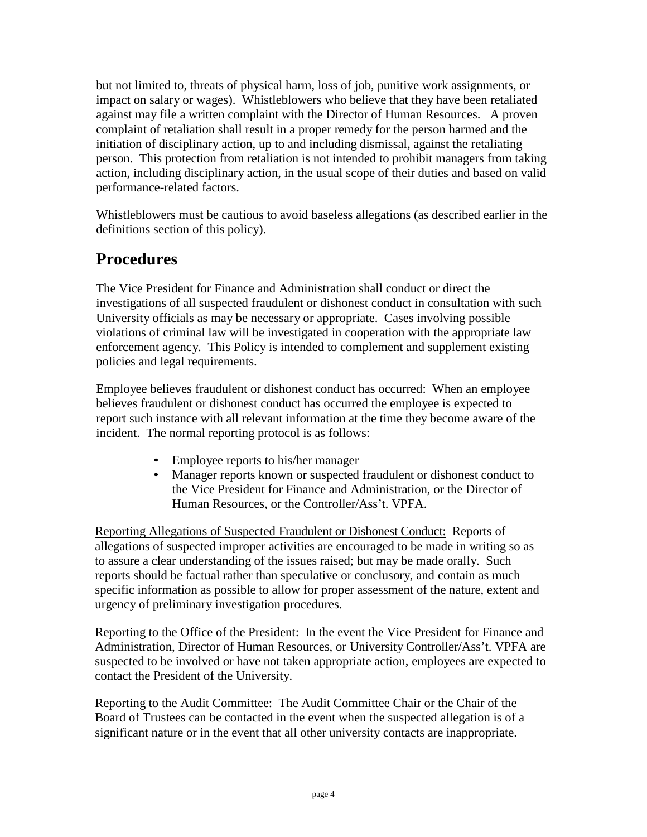but not limited to, threats of physical harm, loss of job, punitive work assignments, or impact on salary or wages). Whistleblowers who believe that they have been retaliated against may file a written complaint with the Director of Human Resources. A proven complaint of retaliation shall result in a proper remedy for the person harmed and the initiation of disciplinary action, up to and including dismissal, against the retaliating person. This protection from retaliation is not intended to prohibit managers from taking action, including disciplinary action, in the usual scope of their duties and based on valid performance-related factors.

Whistleblowers must be cautious to avoid baseless allegations (as described earlier in the definitions section of this policy).

#### **Procedures**

The Vice President for Finance and Administration shall conduct or direct the investigations of all suspected fraudulent or dishonest conduct in consultation with such University officials as may be necessary or appropriate. Cases involving possible violations of criminal law will be investigated in cooperation with the appropriate law enforcement agency. This Policy is intended to complement and supplement existing policies and legal requirements.

Employee believes fraudulent or dishonest conduct has occurred: When an employee believes fraudulent or dishonest conduct has occurred the employee is expected to report such instance with all relevant information at the time they become aware of the incident. The normal reporting protocol is as follows:

- Employee reports to his/her manager
- Manager reports known or suspected fraudulent or dishonest conduct to the Vice President for Finance and Administration, or the Director of Human Resources, or the Controller/Ass't. VPFA.

Reporting Allegations of Suspected Fraudulent or Dishonest Conduct: Reports of allegations of suspected improper activities are encouraged to be made in writing so as to assure a clear understanding of the issues raised; but may be made orally. Such reports should be factual rather than speculative or conclusory, and contain as much specific information as possible to allow for proper assessment of the nature, extent and urgency of preliminary investigation procedures.

Reporting to the Office of the President: In the event the Vice President for Finance and Administration, Director of Human Resources, or University Controller/Ass't. VPFA are suspected to be involved or have not taken appropriate action, employees are expected to contact the President of the University.

Reporting to the Audit Committee: The Audit Committee Chair or the Chair of the Board of Trustees can be contacted in the event when the suspected allegation is of a significant nature or in the event that all other university contacts are inappropriate.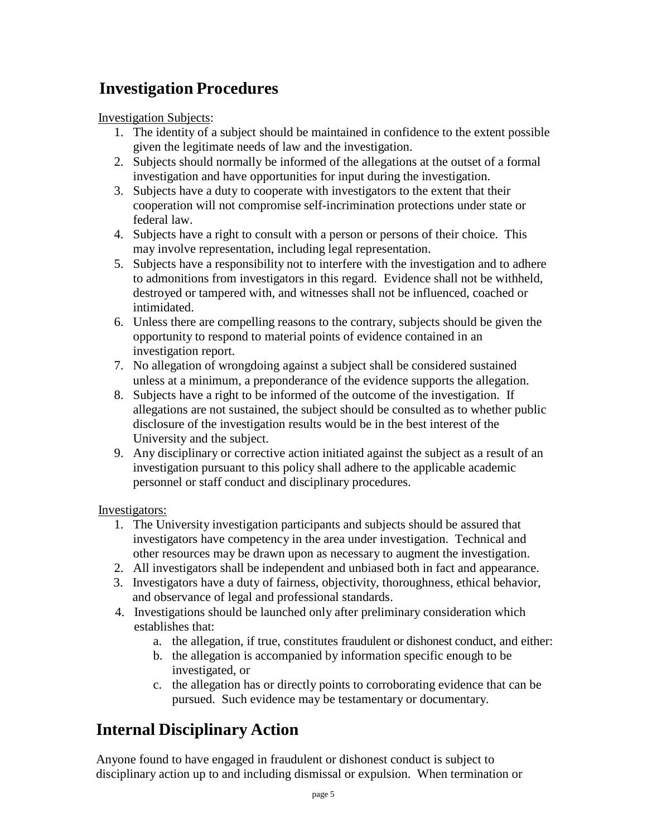# **Investigation Procedures**

Investigation Subjects:

- 1. The identity of a subject should be maintained in confidence to the extent possible given the legitimate needs of law and the investigation.
- 2. Subjects should normally be informed of the allegations at the outset of a formal investigation and have opportunities for input during the investigation.
- 3. Subjects have a duty to cooperate with investigators to the extent that their cooperation will not compromise self-incrimination protections under state or federal law.
- 4. Subjects have a right to consult with a person or persons of their choice. This may involve representation, including legal representation.
- 5. Subjects have a responsibility not to interfere with the investigation and to adhere to admonitions from investigators in this regard. Evidence shall not be withheld, destroyed or tampered with, and witnesses shall not be influenced, coached or intimidated.
- 6. Unless there are compelling reasons to the contrary, subjects should be given the opportunity to respond to material points of evidence contained in an investigation report.
- 7. No allegation of wrongdoing against a subject shall be considered sustained unless at a minimum, a preponderance of the evidence supports the allegation.
- 8. Subjects have a right to be informed of the outcome of the investigation. If allegations are not sustained, the subject should be consulted as to whether public disclosure of the investigation results would be in the best interest of the University and the subject.
- 9. Any disciplinary or corrective action initiated against the subject as a result of an investigation pursuant to this policy shall adhere to the applicable academic personnel or staff conduct and disciplinary procedures.

Investigators:

- 1. The University investigation participants and subjects should be assured that investigators have competency in the area under investigation. Technical and other resources may be drawn upon as necessary to augment the investigation.
- 2. All investigators shall be independent and unbiased both in fact and appearance.
- 3. Investigators have a duty of fairness, objectivity, thoroughness, ethical behavior, and observance of legal and professional standards.
- 4. Investigations should be launched only after preliminary consideration which establishes that:
	- a. the allegation, if true, constitutes fraudulent or dishonest conduct, and either:
	- b. the allegation is accompanied by information specific enough to be investigated, or
	- c. the allegation has or directly points to corroborating evidence that can be pursued. Such evidence may be testamentary or documentary.

### **Internal Disciplinary Action**

Anyone found to have engaged in fraudulent or dishonest conduct is subject to disciplinary action up to and including dismissal or expulsion. When termination or